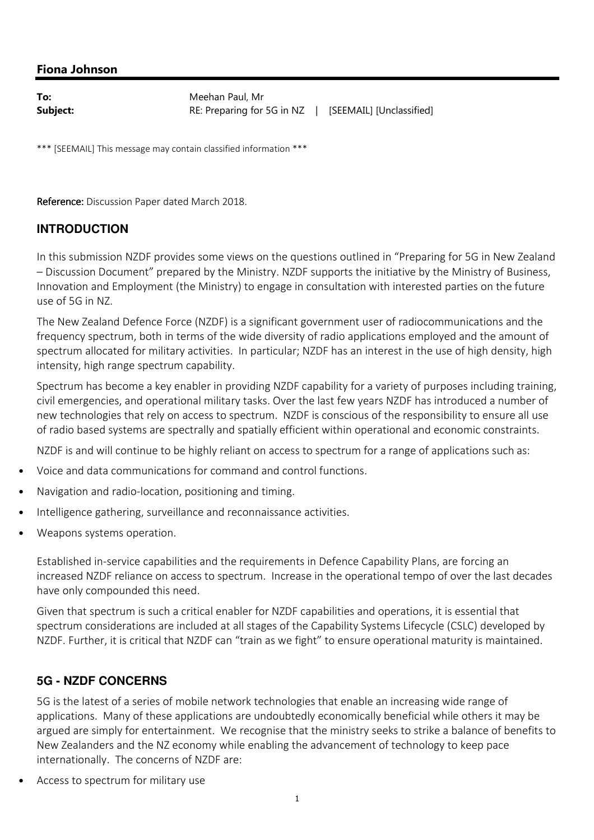### Fiona Johnson

| To:      | Meehan Paul, Mr                                       |  |
|----------|-------------------------------------------------------|--|
| Subject: | RE: Preparing for 5G in NZ   [SEEMAIL] [Unclassified] |  |

\*\*\* [SEEMAIL] This message may contain classified information \*\*\*

Reference: Discussion Paper dated March 2018.

### **INTRODUCTION**

In this submission NZDF provides some views on the questions outlined in "Preparing for 5G in New Zealand – Discussion Document" prepared by the Ministry. NZDF supports the initiative by the Ministry of Business, Innovation and Employment (the Ministry) to engage in consultation with interested parties on the future use of 5G in NZ.

The New Zealand Defence Force (NZDF) is a significant government user of radiocommunications and the frequency spectrum, both in terms of the wide diversity of radio applications employed and the amount of spectrum allocated for military activities. In particular; NZDF has an interest in the use of high density, high intensity, high range spectrum capability.

Spectrum has become a key enabler in providing NZDF capability for a variety of purposes including training, civil emergencies, and operational military tasks. Over the last few years NZDF has introduced a number of new technologies that rely on access to spectrum. NZDF is conscious of the responsibility to ensure all use of radio based systems are spectrally and spatially efficient within operational and economic constraints.

NZDF is and will continue to be highly reliant on access to spectrum for a range of applications such as:

- Voice and data communications for command and control functions.
- Navigation and radio-location, positioning and timing.
- Intelligence gathering, surveillance and reconnaissance activities.
- Weapons systems operation.

Established in-service capabilities and the requirements in Defence Capability Plans, are forcing an increased NZDF reliance on access to spectrum. Increase in the operational tempo of over the last decades have only compounded this need.

Given that spectrum is such a critical enabler for NZDF capabilities and operations, it is essential that spectrum considerations are included at all stages of the Capability Systems Lifecycle (CSLC) developed by NZDF. Further, it is critical that NZDF can "train as we fight" to ensure operational maturity is maintained.

#### **5G - NZDF CONCERNS**

5G is the latest of a series of mobile network technologies that enable an increasing wide range of applications. Many of these applications are undoubtedly economically beneficial while others it may be argued are simply for entertainment. We recognise that the ministry seeks to strike a balance of benefits to New Zealanders and the NZ economy while enabling the advancement of technology to keep pace internationally. The concerns of NZDF are:

• Access to spectrum for military use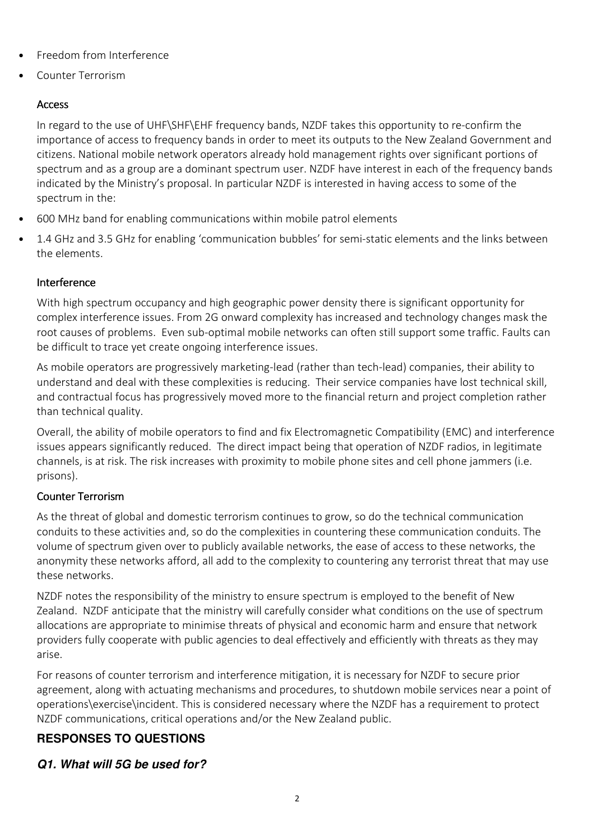- Freedom from Interference
- Counter Terrorism

# Access

In regard to the use of UHF\SHF\EHF frequency bands, NZDF takes this opportunity to re-confirm the importance of access to frequency bands in order to meet its outputs to the New Zealand Government and citizens. National mobile network operators already hold management rights over significant portions of spectrum and as a group are a dominant spectrum user. NZDF have interest in each of the frequency bands indicated by the Ministry's proposal. In particular NZDF is interested in having access to some of the spectrum in the:

- 600 MHz band for enabling communications within mobile patrol elements
- 1.4 GHz and 3.5 GHz for enabling 'communication bubbles' for semi-static elements and the links between the elements.

### Interference

With high spectrum occupancy and high geographic power density there is significant opportunity for complex interference issues. From 2G onward complexity has increased and technology changes mask the root causes of problems. Even sub-optimal mobile networks can often still support some traffic. Faults can be difficult to trace yet create ongoing interference issues.

As mobile operators are progressively marketing-lead (rather than tech-lead) companies, their ability to understand and deal with these complexities is reducing. Their service companies have lost technical skill, and contractual focus has progressively moved more to the financial return and project completion rather than technical quality.

Overall, the ability of mobile operators to find and fix Electromagnetic Compatibility (EMC) and interference issues appears significantly reduced. The direct impact being that operation of NZDF radios, in legitimate channels, is at risk. The risk increases with proximity to mobile phone sites and cell phone jammers (i.e. prisons).

### Counter Terrorism

As the threat of global and domestic terrorism continues to grow, so do the technical communication conduits to these activities and, so do the complexities in countering these communication conduits. The volume of spectrum given over to publicly available networks, the ease of access to these networks, the anonymity these networks afford, all add to the complexity to countering any terrorist threat that may use these networks.

NZDF notes the responsibility of the ministry to ensure spectrum is employed to the benefit of New Zealand. NZDF anticipate that the ministry will carefully consider what conditions on the use of spectrum allocations are appropriate to minimise threats of physical and economic harm and ensure that network providers fully cooperate with public agencies to deal effectively and efficiently with threats as they may arise.

For reasons of counter terrorism and interference mitigation, it is necessary for NZDF to secure prior agreement, along with actuating mechanisms and procedures, to shutdown mobile services near a point of operations\exercise\incident. This is considered necessary where the NZDF has a requirement to protect NZDF communications, critical operations and/or the New Zealand public.

# **RESPONSES TO QUESTIONS**

# **Q1. What will 5G be used for?**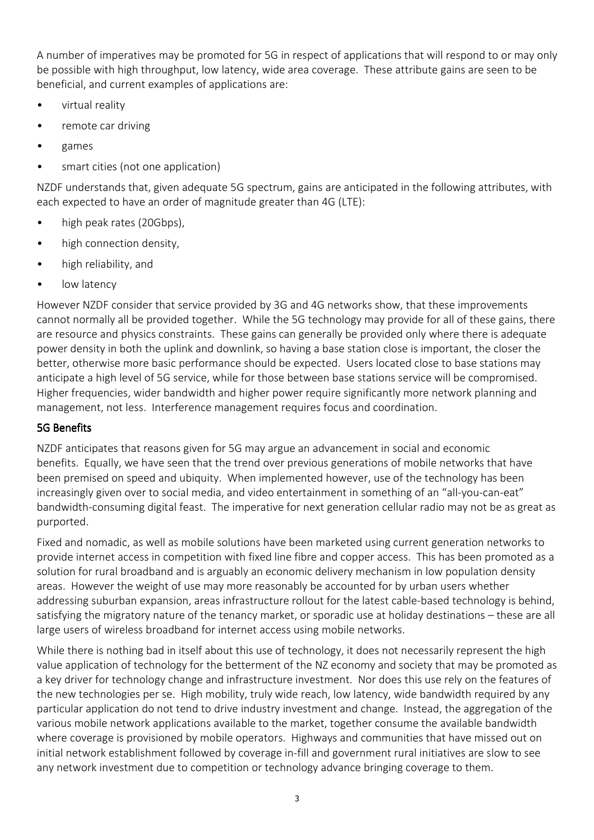A number of imperatives may be promoted for 5G in respect of applications that will respond to or may only be possible with high throughput, low latency, wide area coverage. These attribute gains are seen to be beneficial, and current examples of applications are:

- virtual reality
- remote car driving
- games
- smart cities (not one application)

NZDF understands that, given adequate 5G spectrum, gains are anticipated in the following attributes, with each expected to have an order of magnitude greater than 4G (LTE):

- high peak rates (20Gbps),
- high connection density,
- high reliability, and
- low latency

However NZDF consider that service provided by 3G and 4G networks show, that these improvements cannot normally all be provided together. While the 5G technology may provide for all of these gains, there are resource and physics constraints. These gains can generally be provided only where there is adequate power density in both the uplink and downlink, so having a base station close is important, the closer the better, otherwise more basic performance should be expected. Users located close to base stations may anticipate a high level of 5G service, while for those between base stations service will be compromised. Higher frequencies, wider bandwidth and higher power require significantly more network planning and management, not less. Interference management requires focus and coordination.

#### 5G Benefits

NZDF anticipates that reasons given for 5G may argue an advancement in social and economic benefits. Equally, we have seen that the trend over previous generations of mobile networks that have been premised on speed and ubiquity. When implemented however, use of the technology has been increasingly given over to social media, and video entertainment in something of an "all-you-can-eat" bandwidth-consuming digital feast. The imperative for next generation cellular radio may not be as great as purported.

Fixed and nomadic, as well as mobile solutions have been marketed using current generation networks to provide internet access in competition with fixed line fibre and copper access. This has been promoted as a solution for rural broadband and is arguably an economic delivery mechanism in low population density areas. However the weight of use may more reasonably be accounted for by urban users whether addressing suburban expansion, areas infrastructure rollout for the latest cable-based technology is behind, satisfying the migratory nature of the tenancy market, or sporadic use at holiday destinations – these are all large users of wireless broadband for internet access using mobile networks.

While there is nothing bad in itself about this use of technology, it does not necessarily represent the high value application of technology for the betterment of the NZ economy and society that may be promoted as a key driver for technology change and infrastructure investment. Nor does this use rely on the features of the new technologies per se. High mobility, truly wide reach, low latency, wide bandwidth required by any particular application do not tend to drive industry investment and change. Instead, the aggregation of the various mobile network applications available to the market, together consume the available bandwidth where coverage is provisioned by mobile operators. Highways and communities that have missed out on initial network establishment followed by coverage in-fill and government rural initiatives are slow to see any network investment due to competition or technology advance bringing coverage to them.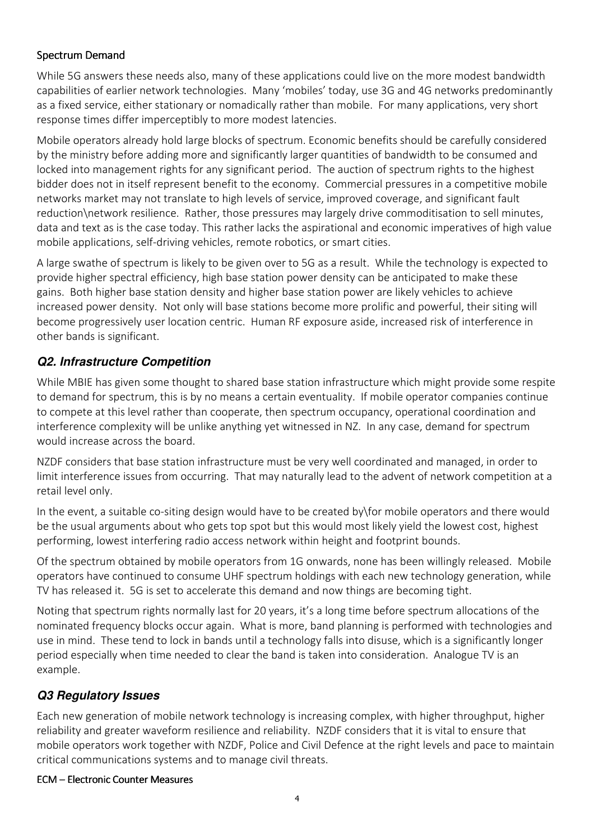### Spectrum Demand

While 5G answers these needs also, many of these applications could live on the more modest bandwidth capabilities of earlier network technologies. Many 'mobiles' today, use 3G and 4G networks predominantly as a fixed service, either stationary or nomadically rather than mobile. For many applications, very short response times differ imperceptibly to more modest latencies.

Mobile operators already hold large blocks of spectrum. Economic benefits should be carefully considered by the ministry before adding more and significantly larger quantities of bandwidth to be consumed and locked into management rights for any significant period. The auction of spectrum rights to the highest bidder does not in itself represent benefit to the economy. Commercial pressures in a competitive mobile networks market may not translate to high levels of service, improved coverage, and significant fault reduction\network resilience. Rather, those pressures may largely drive commoditisation to sell minutes, data and text as is the case today. This rather lacks the aspirational and economic imperatives of high value mobile applications, self-driving vehicles, remote robotics, or smart cities.

A large swathe of spectrum is likely to be given over to 5G as a result. While the technology is expected to provide higher spectral efficiency, high base station power density can be anticipated to make these gains. Both higher base station density and higher base station power are likely vehicles to achieve increased power density. Not only will base stations become more prolific and powerful, their siting will become progressively user location centric. Human RF exposure aside, increased risk of interference in other bands is significant.

# **Q2. Infrastructure Competition**

While MBIE has given some thought to shared base station infrastructure which might provide some respite to demand for spectrum, this is by no means a certain eventuality. If mobile operator companies continue to compete at this level rather than cooperate, then spectrum occupancy, operational coordination and interference complexity will be unlike anything yet witnessed in NZ. In any case, demand for spectrum would increase across the board.

NZDF considers that base station infrastructure must be very well coordinated and managed, in order to limit interference issues from occurring. That may naturally lead to the advent of network competition at a retail level only.

In the event, a suitable co-siting design would have to be created by\for mobile operators and there would be the usual arguments about who gets top spot but this would most likely yield the lowest cost, highest performing, lowest interfering radio access network within height and footprint bounds.

Of the spectrum obtained by mobile operators from 1G onwards, none has been willingly released. Mobile operators have continued to consume UHF spectrum holdings with each new technology generation, while TV has released it. 5G is set to accelerate this demand and now things are becoming tight.

Noting that spectrum rights normally last for 20 years, it's a long time before spectrum allocations of the nominated frequency blocks occur again. What is more, band planning is performed with technologies and use in mind. These tend to lock in bands until a technology falls into disuse, which is a significantly longer period especially when time needed to clear the band is taken into consideration. Analogue TV is an example.

# **Q3 Regulatory Issues**

Each new generation of mobile network technology is increasing complex, with higher throughput, higher reliability and greater waveform resilience and reliability. NZDF considers that it is vital to ensure that mobile operators work together with NZDF, Police and Civil Defence at the right levels and pace to maintain critical communications systems and to manage civil threats.

#### ECM –Electronic Counter Measures Electronic Measures Measures